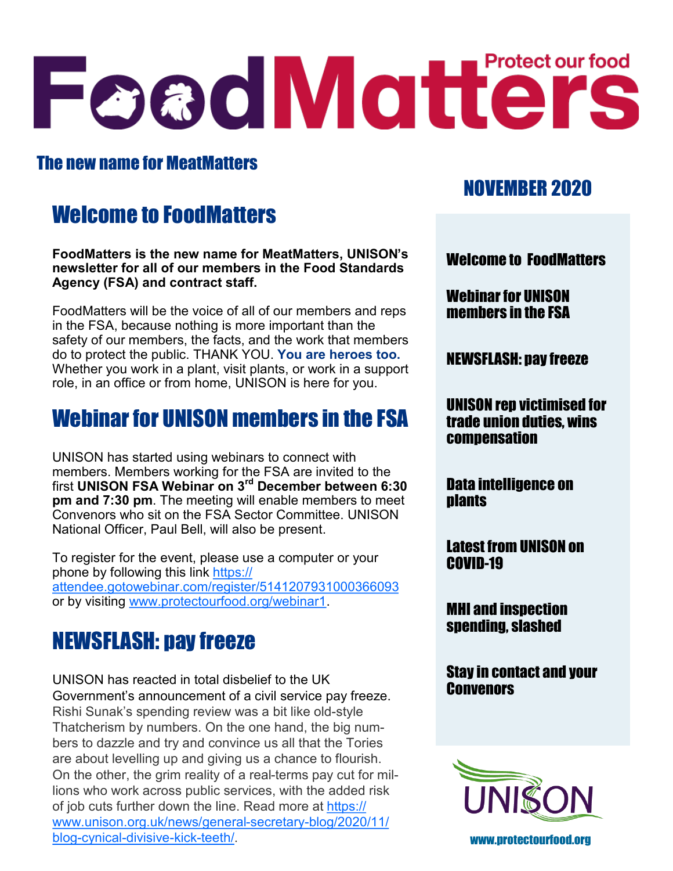# FeadMatterS

### The new name for MeatMatters

# Welcome to FoodMatters

**FoodMatters is the new name for MeatMatters, UNISON's newsletter for all of our members in the Food Standards Agency (FSA) and contract staff.**

FoodMatters will be the voice of all of our members and reps in the FSA, because nothing is more important than the safety of our members, the facts, and the work that members do to protect the public. THANK YOU. **You are heroes too.**  Whether you work in a plant, visit plants, or work in a support role, in an office or from home, UNISON is here for you.

# Webinar for UNISON members in the FSA

UNISON has started using webinars to connect with members. Members working for the FSA are invited to the first **UNISON FSA Webinar on 3rd December between 6:30 pm and 7:30 pm**. The meeting will enable members to meet Convenors who sit on the FSA Sector Committee. UNISON National Officer, Paul Bell, will also be present.

To register for the event, please use a computer or your phone by following this link [https://](https://attendee.gotowebinar.com/register/5141207931000366093) [attendee.gotowebinar.com/register/5141207931000366093](https://attendee.gotowebinar.com/register/5141207931000366093) or by visiting [www.protectourfood.org/webinar1.](http://www.protectourfood.org/webinar1)

# NEWSFLASH: pay freeze

UNISON has reacted in total disbelief to the UK Government's announcement of a civil service pay freeze. Rishi Sunak's spending review was a bit like old-style Thatcherism by numbers. On the one hand, the big numbers to dazzle and try and convince us all that the Tories are about levelling up and giving us a chance to flourish. On the other, the grim reality of a real-terms pay cut for millions who work across public services, with the added risk of job cuts further down the line. Read more at [https://](https://www.unison.org.uk/news/general-secretary-blog/2020/11/blog-cynical-divisive-kick-teeth/) [www.unison.org.uk/news/general](https://www.unison.org.uk/news/general-secretary-blog/2020/11/blog-cynical-divisive-kick-teeth/)-secretary-blog/2020/11/ blog-cynical-[divisive](https://www.unison.org.uk/news/general-secretary-blog/2020/11/blog-cynical-divisive-kick-teeth/)-kick-teeth/. www.protectourfood.org

## NOVEMBER 2020

Welcome to FoodMatters

Webinar for UNISON members in the FSA

NEWSFLASH: pay freeze

UNISON rep victimised for trade union duties, wins compensation

Data intelligence on **nlants** 

Latest from UNISON on COVID-19

MHI and inspection spending, slashed

Stay in contact and your **Convenors** 

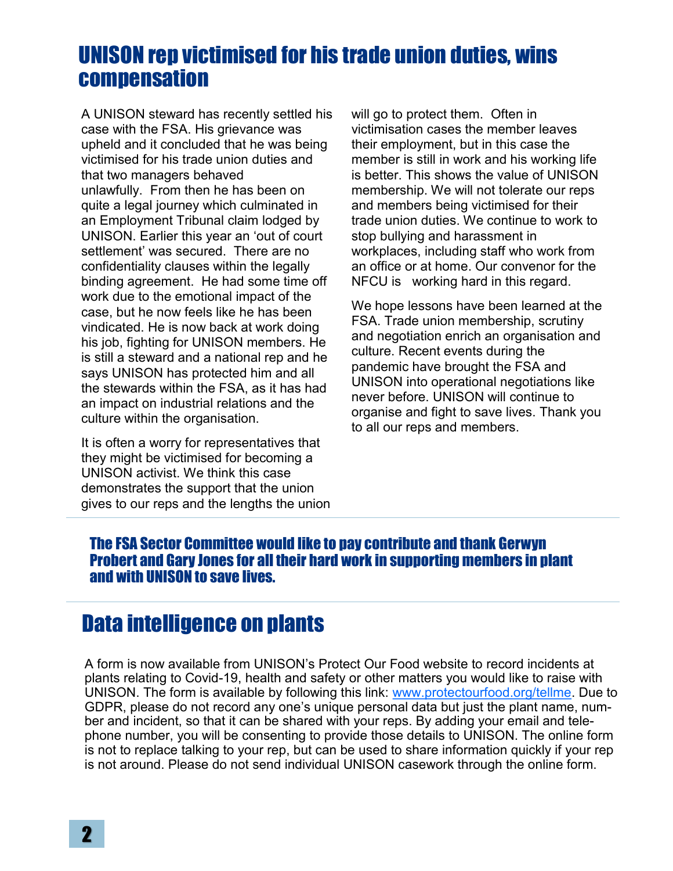## UNISON rep victimised for his trade union duties, wins compensation

A UNISON steward has recently settled his case with the FSA. His grievance was upheld and it concluded that he was being victimised for his trade union duties and that two managers behaved unlawfully. From then he has been on quite a legal journey which culminated in an Employment Tribunal claim lodged by UNISON. Earlier this year an 'out of court settlement' was secured. There are no confidentiality clauses within the legally binding agreement. He had some time off work due to the emotional impact of the case, but he now feels like he has been vindicated. He is now back at work doing his job, fighting for UNISON members. He is still a steward and a national rep and he says UNISON has protected him and all the stewards within the FSA, as it has had an impact on industrial relations and the culture within the organisation.

It is often a worry for representatives that they might be victimised for becoming a UNISON activist. We think this case demonstrates the support that the union gives to our reps and the lengths the union will go to protect them. Often in victimisation cases the member leaves their employment, but in this case the member is still in work and his working life is better. This shows the value of UNISON membership. We will not tolerate our reps and members being victimised for their trade union duties. We continue to work to stop bullying and harassment in workplaces, including staff who work from an office or at home. Our convenor for the NFCU is working hard in this regard.

We hope lessons have been learned at the FSA. Trade union membership, scrutiny and negotiation enrich an organisation and culture. Recent events during the pandemic have brought the FSA and UNISON into operational negotiations like never before. UNISON will continue to organise and fight to save lives. Thank you to all our reps and members.

#### The FSA Sector Committee would like to pay contribute and thank Gerwyn Probert and Gary Jones for all their hard work in supporting members in plant and with UNISON to save lives.

## Data intelligence on plants

A form is now available from UNISON's Protect Our Food website to record incidents at plants relating to Covid-19, health and safety or other matters you would like to raise with UNISON. The form is available by following this link: [www.protectourfood.org/tellme.](http://www.protectourfood.org/tellme) Due to GDPR, please do not record any one's unique personal data but just the plant name, number and incident, so that it can be shared with your reps. By adding your email and telephone number, you will be consenting to provide those details to UNISON. The online form is not to replace talking to your rep, but can be used to share information quickly if your rep is not around. Please do not send individual UNISON casework through the online form.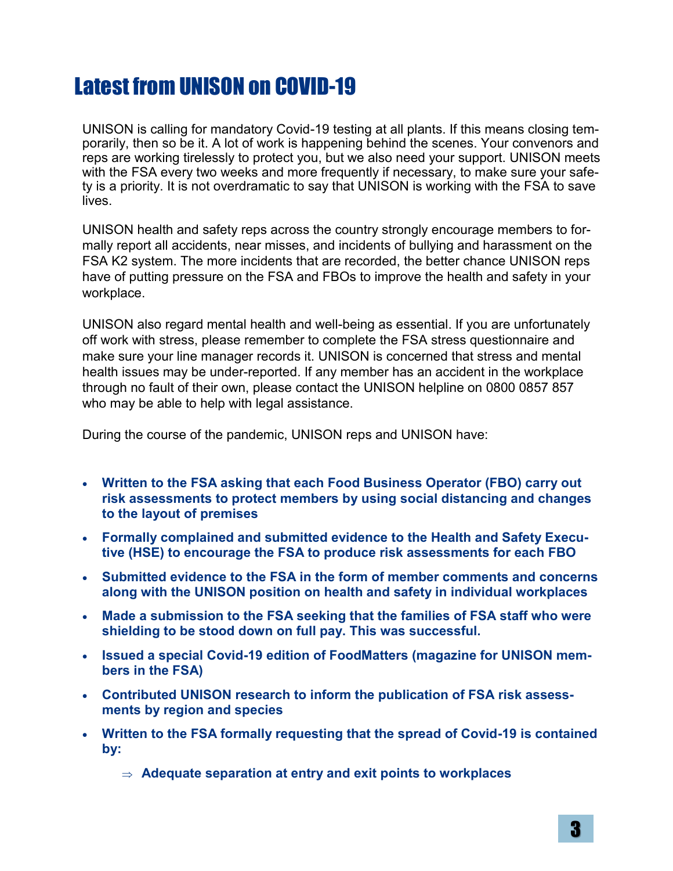# Latest from UNISON on COVID-19

UNISON is calling for mandatory Covid-19 testing at all plants. If this means closing temporarily, then so be it. A lot of work is happening behind the scenes. Your convenors and reps are working tirelessly to protect you, but we also need your support. UNISON meets with the FSA every two weeks and more frequently if necessary, to make sure your safety is a priority. It is not overdramatic to say that UNISON is working with the FSA to save lives.

UNISON health and safety reps across the country strongly encourage members to formally report all accidents, near misses, and incidents of bullying and harassment on the FSA K2 system. The more incidents that are recorded, the better chance UNISON reps have of putting pressure on the FSA and FBOs to improve the health and safety in your workplace.

UNISON also regard mental health and well-being as essential. If you are unfortunately off work with stress, please remember to complete the FSA stress questionnaire and make sure your line manager records it. UNISON is concerned that stress and mental health issues may be under-reported. If any member has an accident in the workplace through no fault of their own, please contact the UNISON helpline on 0800 0857 857 who may be able to help with legal assistance.

During the course of the pandemic, UNISON reps and UNISON have:

- **Written to the FSA asking that each Food Business Operator (FBO) carry out risk assessments to protect members by using social distancing and changes to the layout of premises**
- **Formally complained and submitted evidence to the Health and Safety Executive (HSE) to encourage the FSA to produce risk assessments for each FBO**
- **Submitted evidence to the FSA in the form of member comments and concerns along with the UNISON position on health and safety in individual workplaces**
- **Made a submission to the FSA seeking that the families of FSA staff who were shielding to be stood down on full pay. This was successful.**
- **Issued a special Covid-19 edition of FoodMatters (magazine for UNISON members in the FSA)**
- **Contributed UNISON research to inform the publication of FSA risk assessments by region and species**
- **Written to the FSA formally requesting that the spread of Covid-19 is contained by:**

**Adequate separation at entry and exit points to workplaces**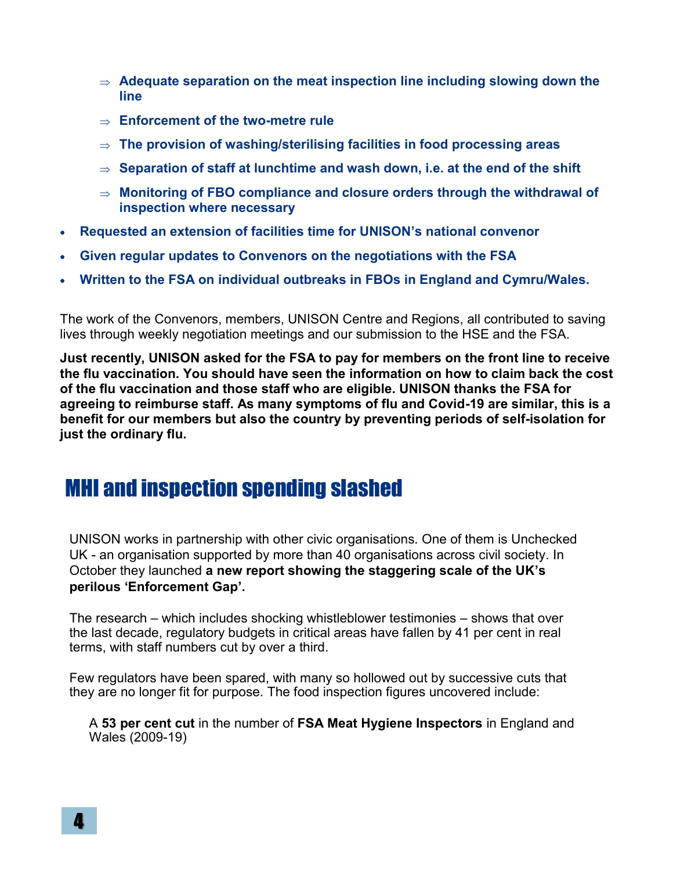- **Adequate separation on the meat inspection line including slowing down the line**
- **Enforcement of the two-metre rule**
- **The provision of washing/sterilising facilities in food processing areas**
- $\Rightarrow$  Separation of staff at lunchtime and wash down, i.e. at the end of the shift
- **Monitoring of FBO compliance and closure orders through the withdrawal of inspection where necessary**
- **Requested an extension of facilities time for UNISON's national convenor**
- **Given regular updates to Convenors on the negotiations with the FSA**
- **Written to the FSA on individual outbreaks in FBOs in England and Cymru/Wales.**

The work of the Convenors, members, UNISON Centre and Regions, all contributed to saving lives through weekly negotiation meetings and our submission to the HSE and the FSA.

**Just recently, UNISON asked for the FSA to pay for members on the front line to receive the flu vaccination. You should have seen the information on how to claim back the cost of the flu vaccination and those staff who are eligible. UNISON thanks the FSA for agreeing to reimburse staff. As many symptoms of flu and Covid-19 are similar, this is a benefit for our members but also the country by preventing periods of self-isolation for just the ordinary flu.** 

## MHI and inspection spending slashed

UNISON works in partnership with other civic organisations. One of them is Unchecked UK - an organisation supported by more than 40 organisations across civil society. In October they launched **a new report showing the staggering scale of the UK's perilous 'Enforcement Gap'.**

The research – which includes shocking whistleblower testimonies – shows that over the last decade, regulatory budgets in critical areas have fallen by 41 per cent in real terms, with staff numbers cut by over a third.

Few regulators have been spared, with many so hollowed out by successive cuts that they are no longer fit for purpose. The food inspection figures uncovered include:

A **53 per cent cut** in the number of **FSA Meat Hygiene Inspectors** in England and Wales (2009-19)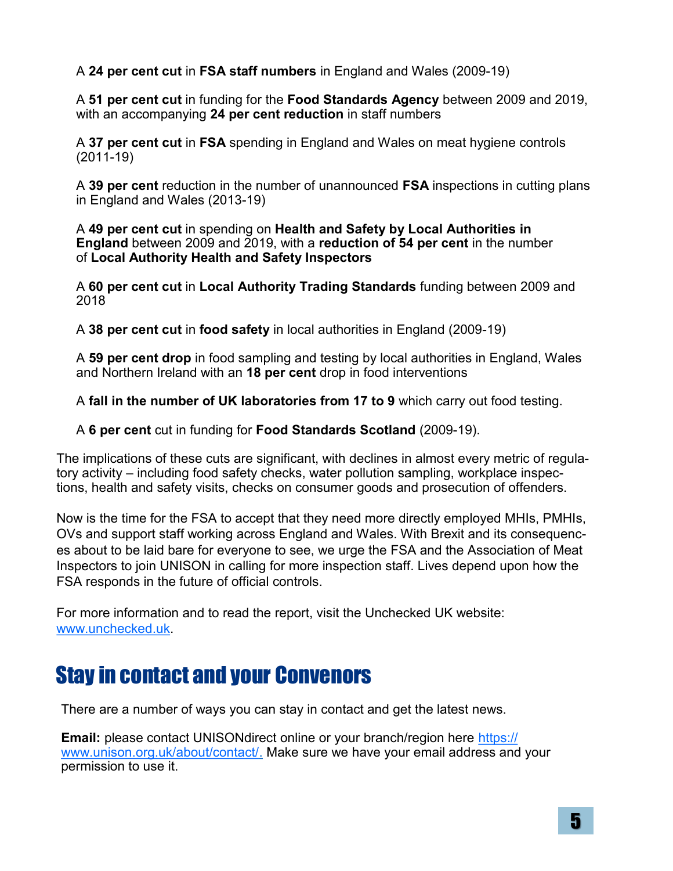A **24 per cent cut** in **FSA staff numbers** in England and Wales (2009-19)

A **51 per cent cut** in funding for the **Food Standards Agency** between 2009 and 2019, with an accompanying **24 per cent reduction** in staff numbers

A **37 per cent cut** in **FSA** spending in England and Wales on meat hygiene controls (2011-19)

A **39 per cent** reduction in the number of unannounced **FSA** inspections in cutting plans in England and Wales (2013-19)

A **49 per cent cut** in spending on **Health and Safety by Local Authorities in England** between 2009 and 2019, with a **reduction of 54 per cent** in the number of **Local Authority Health and Safety Inspectors**

A **60 per cent cut** in **Local Authority Trading Standards** funding between 2009 and 2018

A **38 per cent cut** in **food safety** in local authorities in England (2009-19)

A **59 per cent drop** in food sampling and testing by local authorities in England, Wales and Northern Ireland with an **18 per cent** drop in food interventions

A **fall in the number of UK laboratories from 17 to 9** which carry out food testing.

A **6 per cent** cut in funding for **Food Standards Scotland** (2009-19).

The implications of these cuts are significant, with declines in almost every metric of regulatory activity – including food safety checks, water pollution sampling, workplace inspections, health and safety visits, checks on consumer goods and prosecution of offenders.

Now is the time for the FSA to accept that they need more directly employed MHIs, PMHIs, OVs and support staff working across England and Wales. With Brexit and its consequences about to be laid bare for everyone to see, we urge the FSA and the Association of Meat Inspectors to join UNISON in calling for more inspection staff. Lives depend upon how the FSA responds in the future of official controls.

For more information and to read the report, visit the Unchecked UK website: [www.unchecked.uk.](http://www.unchecked.uk)

# Stay in contact and your Convenors

There are a number of ways you can stay in contact and get the latest news.

**Email:** please contact UNISONdirect online or your branch/region here [https://](https://www.unison.org.uk/about/contact/) [www.unison.org.uk/about/contact/.](https://www.unison.org.uk/about/contact/) Make sure we have your email address and your permission to use it.